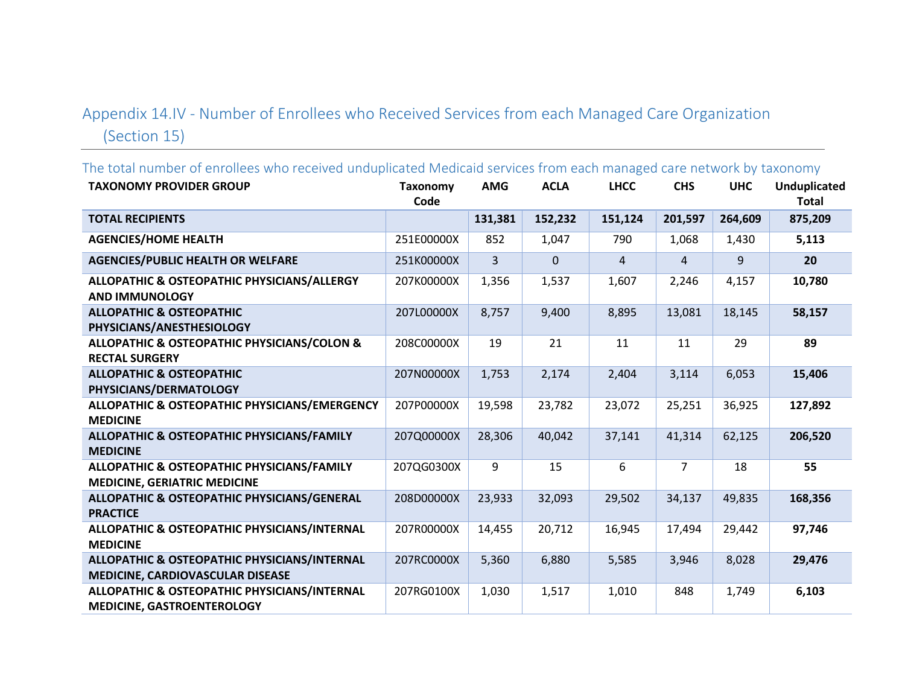## Appendix 14.IV - Number of Enrollees who Received Services from each Managed Care Organization (Section 15)

The total number of enrollees who received unduplicated Medicaid services from each managed care network by taxonomy **TAXONOMY PROVIDER GROUP Taxonomy Code AMG ACLA LHCC CHS UHC Unduplicated Total TOTAL RECIPIENTS 131,381 152,232 151,124 201,597 264,609 875,209 AGENCIES/HOME HEALTH** 251E00000X 852 1,047 790 1,068 1,430 **5,113 AGENCIES/PUBLIC HEALTH OR WELFARE** 251K00000X 3 0 4 4 9 **20 ALLOPATHIC & OSTEOPATHIC PHYSICIANS/ALLERGY AND IMMUNOLOGY** 207K00000X 1,356 1,537 1,607 2,246 4,157 **10,780 ALLOPATHIC & OSTEOPATHIC PHYSICIANS/ANESTHESIOLOGY** 207L00000X 8,757 9,400 8,895 13,081 18,145 **58,157 ALLOPATHIC & OSTEOPATHIC PHYSICIANS/COLON & RECTAL SURGERY** 208C00000X 19 21 11 11 29 **89 ALLOPATHIC & OSTEOPATHIC PHYSICIANS/DERMATOLOGY** 207N00000X 1,753 2,174 2,404 3,114 6,053 **15,406 ALLOPATHIC & OSTEOPATHIC PHYSICIANS/EMERGENCY MEDICINE** 207P00000X 19,598 23,782 23,072 25,251 36,925 **127,892 ALLOPATHIC & OSTEOPATHIC PHYSICIANS/FAMILY MEDICINE** 207Q00000X 28,306 40,042 37,141 41,314 62,125 **206,520 ALLOPATHIC & OSTEOPATHIC PHYSICIANS/FAMILY MEDICINE, GERIATRIC MEDICINE** 207QG0300X 9 15 6 7 18 **55 ALLOPATHIC & OSTEOPATHIC PHYSICIANS/GENERAL PRACTICE** 208D00000X 23,933 32,093 29,502 34,137 49,835 **168,356 ALLOPATHIC & OSTEOPATHIC PHYSICIANS/INTERNAL MEDICINE** 207R00000X 14,455 20,712 16,945 17,494 29,442 **97,746 ALLOPATHIC & OSTEOPATHIC PHYSICIANS/INTERNAL MEDICINE, CARDIOVASCULAR DISEASE** 207RC0000X 5,360 6,880 5,585 3,946 8,028 **29,476 ALLOPATHIC & OSTEOPATHIC PHYSICIANS/INTERNAL MEDICINE, GASTROENTEROLOGY** 207RG0100X 1,030 1,517 1,010 848 1,749 **6,103**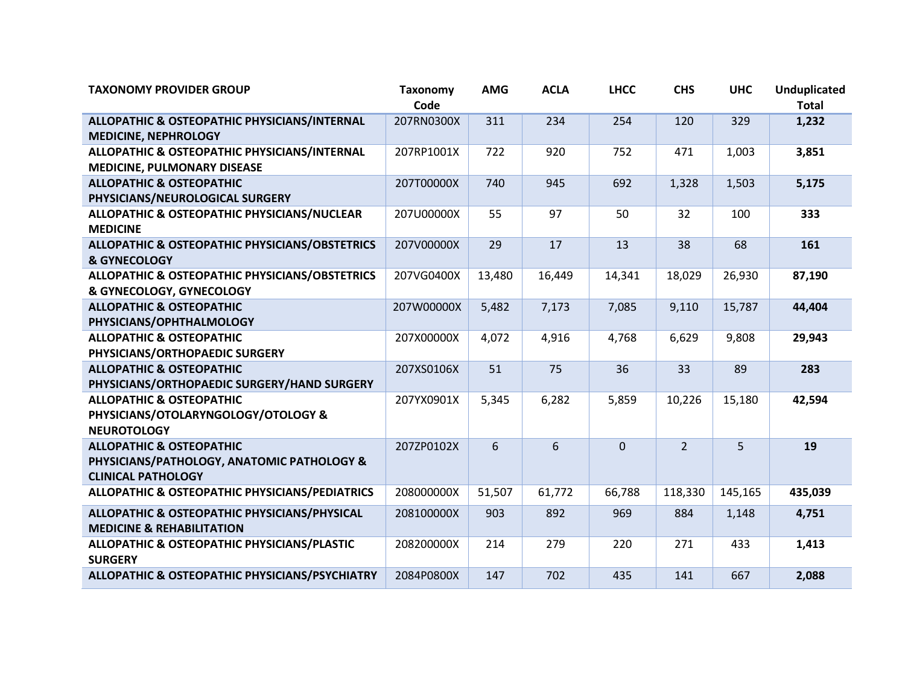| <b>TAXONOMY PROVIDER GROUP</b>                                                                                 | <b>Taxonomy</b><br>Code | <b>AMG</b> | <b>ACLA</b> | <b>LHCC</b> | <b>CHS</b>     | <b>UHC</b> | Unduplicated<br><b>Total</b> |
|----------------------------------------------------------------------------------------------------------------|-------------------------|------------|-------------|-------------|----------------|------------|------------------------------|
| ALLOPATHIC & OSTEOPATHIC PHYSICIANS/INTERNAL<br><b>MEDICINE, NEPHROLOGY</b>                                    | 207RN0300X              | 311        | 234         | 254         | 120            | 329        | 1,232                        |
| ALLOPATHIC & OSTEOPATHIC PHYSICIANS/INTERNAL<br>MEDICINE, PULMONARY DISEASE                                    | 207RP1001X              | 722        | 920         | 752         | 471            | 1,003      | 3,851                        |
| <b>ALLOPATHIC &amp; OSTEOPATHIC</b><br>PHYSICIANS/NEUROLOGICAL SURGERY                                         | 207T00000X              | 740        | 945         | 692         | 1,328          | 1,503      | 5,175                        |
| ALLOPATHIC & OSTEOPATHIC PHYSICIANS/NUCLEAR<br><b>MEDICINE</b>                                                 | 207U00000X              | 55         | 97          | 50          | 32             | 100        | 333                          |
| <b>ALLOPATHIC &amp; OSTEOPATHIC PHYSICIANS/OBSTETRICS</b><br>& GYNECOLOGY                                      | 207V00000X              | 29         | 17          | 13          | 38             | 68         | 161                          |
| <b>ALLOPATHIC &amp; OSTEOPATHIC PHYSICIANS/OBSTETRICS</b><br>& GYNECOLOGY, GYNECOLOGY                          | 207VG0400X              | 13,480     | 16,449      | 14,341      | 18,029         | 26,930     | 87,190                       |
| <b>ALLOPATHIC &amp; OSTEOPATHIC</b><br>PHYSICIANS/OPHTHALMOLOGY                                                | 207W00000X              | 5,482      | 7,173       | 7,085       | 9,110          | 15,787     | 44,404                       |
| <b>ALLOPATHIC &amp; OSTEOPATHIC</b><br>PHYSICIANS/ORTHOPAEDIC SURGERY                                          | 207X00000X              | 4,072      | 4,916       | 4,768       | 6,629          | 9,808      | 29,943                       |
| <b>ALLOPATHIC &amp; OSTEOPATHIC</b><br>PHYSICIANS/ORTHOPAEDIC SURGERY/HAND SURGERY                             | 207XS0106X              | 51         | 75          | 36          | 33             | 89         | 283                          |
| <b>ALLOPATHIC &amp; OSTEOPATHIC</b><br>PHYSICIANS/OTOLARYNGOLOGY/OTOLOGY &<br><b>NEUROTOLOGY</b>               | 207YX0901X              | 5,345      | 6,282       | 5,859       | 10,226         | 15,180     | 42,594                       |
| <b>ALLOPATHIC &amp; OSTEOPATHIC</b><br>PHYSICIANS/PATHOLOGY, ANATOMIC PATHOLOGY &<br><b>CLINICAL PATHOLOGY</b> | 207ZP0102X              | 6          | 6           | $\mathbf 0$ | $\overline{2}$ | 5          | 19                           |
| <b>ALLOPATHIC &amp; OSTEOPATHIC PHYSICIANS/PEDIATRICS</b>                                                      | 208000000X              | 51,507     | 61,772      | 66,788      | 118,330        | 145,165    | 435,039                      |
| ALLOPATHIC & OSTEOPATHIC PHYSICIANS/PHYSICAL<br><b>MEDICINE &amp; REHABILITATION</b>                           | 208100000X              | 903        | 892         | 969         | 884            | 1,148      | 4,751                        |
| ALLOPATHIC & OSTEOPATHIC PHYSICIANS/PLASTIC<br><b>SURGERY</b>                                                  | 208200000X              | 214        | 279         | 220         | 271            | 433        | 1,413                        |
| ALLOPATHIC & OSTEOPATHIC PHYSICIANS/PSYCHIATRY                                                                 | 2084P0800X              | 147        | 702         | 435         | 141            | 667        | 2,088                        |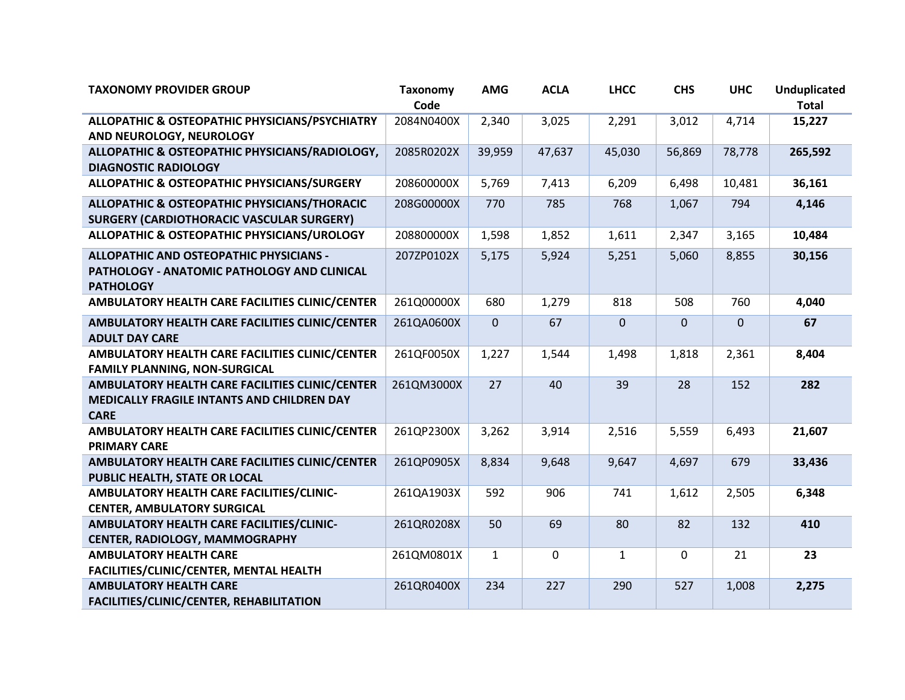| <b>TAXONOMY PROVIDER GROUP</b>                                                                                    | <b>Taxonomy</b><br>Code | <b>AMG</b>   | <b>ACLA</b>  | <b>LHCC</b>    | <b>CHS</b>     | <b>UHC</b>   | <b>Unduplicated</b><br><b>Total</b> |
|-------------------------------------------------------------------------------------------------------------------|-------------------------|--------------|--------------|----------------|----------------|--------------|-------------------------------------|
| ALLOPATHIC & OSTEOPATHIC PHYSICIANS/PSYCHIATRY<br>AND NEUROLOGY, NEUROLOGY                                        | 2084N0400X              | 2,340        | 3,025        | 2,291          | 3,012          | 4,714        | 15,227                              |
| ALLOPATHIC & OSTEOPATHIC PHYSICIANS/RADIOLOGY,<br><b>DIAGNOSTIC RADIOLOGY</b>                                     | 2085R0202X              | 39,959       | 47,637       | 45,030         | 56,869         | 78,778       | 265,592                             |
| ALLOPATHIC & OSTEOPATHIC PHYSICIANS/SURGERY                                                                       | 208600000X              | 5,769        | 7,413        | 6,209          | 6,498          | 10,481       | 36,161                              |
| <b>ALLOPATHIC &amp; OSTEOPATHIC PHYSICIANS/THORACIC</b><br><b>SURGERY (CARDIOTHORACIC VASCULAR SURGERY)</b>       | 208G00000X              | 770          | 785          | 768            | 1,067          | 794          | 4,146                               |
| ALLOPATHIC & OSTEOPATHIC PHYSICIANS/UROLOGY                                                                       | 208800000X              | 1,598        | 1,852        | 1,611          | 2,347          | 3,165        | 10,484                              |
| <b>ALLOPATHIC AND OSTEOPATHIC PHYSICIANS -</b><br>PATHOLOGY - ANATOMIC PATHOLOGY AND CLINICAL<br><b>PATHOLOGY</b> | 207ZP0102X              | 5,175        | 5,924        | 5,251          | 5,060          | 8,855        | 30,156                              |
| AMBULATORY HEALTH CARE FACILITIES CLINIC/CENTER                                                                   | 261Q00000X              | 680          | 1,279        | 818            | 508            | 760          | 4,040                               |
| AMBULATORY HEALTH CARE FACILITIES CLINIC/CENTER<br><b>ADULT DAY CARE</b>                                          | 261QA0600X              | $\mathbf{0}$ | 67           | $\overline{0}$ | $\overline{0}$ | $\mathbf{0}$ | 67                                  |
| AMBULATORY HEALTH CARE FACILITIES CLINIC/CENTER<br><b>FAMILY PLANNING, NON-SURGICAL</b>                           | 261QF0050X              | 1,227        | 1,544        | 1,498          | 1,818          | 2,361        | 8,404                               |
| AMBULATORY HEALTH CARE FACILITIES CLINIC/CENTER<br>MEDICALLY FRAGILE INTANTS AND CHILDREN DAY<br><b>CARE</b>      | 261QM3000X              | 27           | 40           | 39             | 28             | 152          | 282                                 |
| AMBULATORY HEALTH CARE FACILITIES CLINIC/CENTER<br><b>PRIMARY CARE</b>                                            | 261QP2300X              | 3,262        | 3,914        | 2,516          | 5,559          | 6,493        | 21,607                              |
| AMBULATORY HEALTH CARE FACILITIES CLINIC/CENTER<br>PUBLIC HEALTH, STATE OR LOCAL                                  | 261QP0905X              | 8,834        | 9,648        | 9,647          | 4,697          | 679          | 33,436                              |
| AMBULATORY HEALTH CARE FACILITIES/CLINIC-<br><b>CENTER, AMBULATORY SURGICAL</b>                                   | 261QA1903X              | 592          | 906          | 741            | 1,612          | 2,505        | 6,348                               |
| AMBULATORY HEALTH CARE FACILITIES/CLINIC-<br>CENTER, RADIOLOGY, MAMMOGRAPHY                                       | 261QR0208X              | 50           | 69           | 80             | 82             | 132          | 410                                 |
| <b>AMBULATORY HEALTH CARE</b><br>FACILITIES/CLINIC/CENTER, MENTAL HEALTH                                          | 261QM0801X              | $\mathbf{1}$ | $\mathbf{0}$ | $\mathbf{1}$   | $\mathbf{0}$   | 21           | 23                                  |
| <b>AMBULATORY HEALTH CARE</b><br>FACILITIES/CLINIC/CENTER, REHABILITATION                                         | 261QR0400X              | 234          | 227          | 290            | 527            | 1,008        | 2,275                               |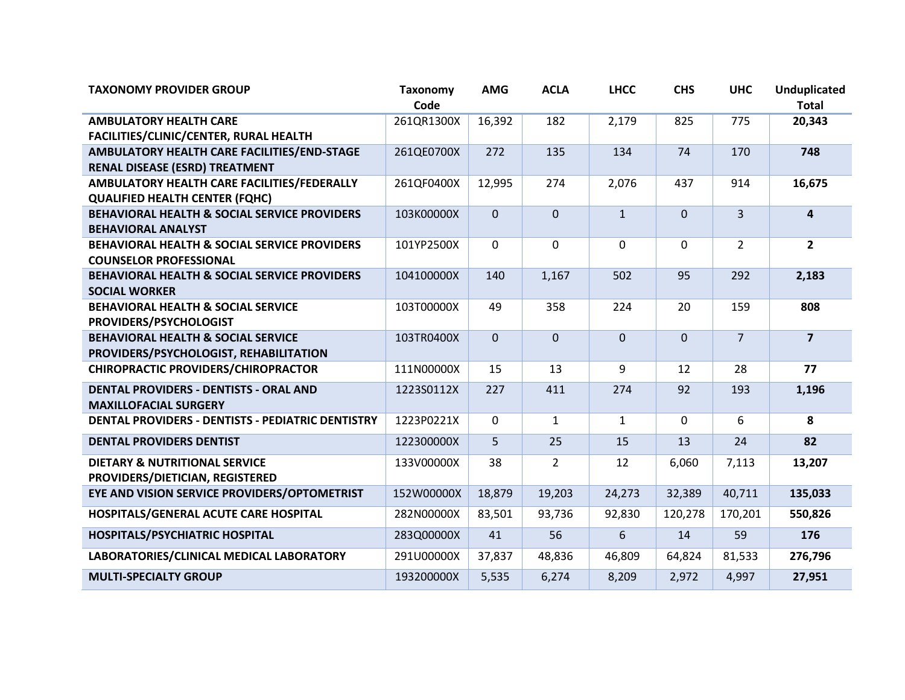| <b>TAXONOMY PROVIDER GROUP</b>                                                           | <b>Taxonomy</b><br>Code | <b>AMG</b>     | <b>ACLA</b>    | <b>LHCC</b>      | <b>CHS</b>   | <b>UHC</b>     | <b>Unduplicated</b><br><b>Total</b> |
|------------------------------------------------------------------------------------------|-------------------------|----------------|----------------|------------------|--------------|----------------|-------------------------------------|
| <b>AMBULATORY HEALTH CARE</b><br>FACILITIES/CLINIC/CENTER, RURAL HEALTH                  | 261QR1300X              | 16,392         | 182            | 2,179            | 825          | 775            | 20,343                              |
| AMBULATORY HEALTH CARE FACILITIES/END-STAGE<br><b>RENAL DISEASE (ESRD) TREATMENT</b>     | 261QE0700X              | 272            | 135            | 134              | 74           | 170            | 748                                 |
| AMBULATORY HEALTH CARE FACILITIES/FEDERALLY<br><b>QUALIFIED HEALTH CENTER (FQHC)</b>     | 261QF0400X              | 12,995         | 274            | 2,076            | 437          | 914            | 16,675                              |
| <b>BEHAVIORAL HEALTH &amp; SOCIAL SERVICE PROVIDERS</b><br><b>BEHAVIORAL ANALYST</b>     | 103K00000X              | $\overline{0}$ | $\mathbf{0}$   | $\mathbf{1}$     | $\mathbf{0}$ | $\overline{3}$ | $\overline{4}$                      |
| <b>BEHAVIORAL HEALTH &amp; SOCIAL SERVICE PROVIDERS</b><br><b>COUNSELOR PROFESSIONAL</b> | 101YP2500X              | 0              | $\mathbf 0$    | $\boldsymbol{0}$ | $\mathbf 0$  | $\overline{2}$ | $\overline{2}$                      |
| BEHAVIORAL HEALTH & SOCIAL SERVICE PROVIDERS<br><b>SOCIAL WORKER</b>                     | 104100000X              | 140            | 1,167          | 502              | 95           | 292            | 2,183                               |
| <b>BEHAVIORAL HEALTH &amp; SOCIAL SERVICE</b><br>PROVIDERS/PSYCHOLOGIST                  | 103T00000X              | 49             | 358            | 224              | 20           | 159            | 808                                 |
| <b>BEHAVIORAL HEALTH &amp; SOCIAL SERVICE</b><br>PROVIDERS/PSYCHOLOGIST, REHABILITATION  | 103TR0400X              | $\overline{0}$ | $\mathbf{0}$   | $\mathbf 0$      | $\mathbf 0$  | $\overline{7}$ | $\overline{\mathbf{z}}$             |
| <b>CHIROPRACTIC PROVIDERS/CHIROPRACTOR</b>                                               | 111N00000X              | 15             | 13             | 9                | 12           | 28             | 77                                  |
| <b>DENTAL PROVIDERS - DENTISTS - ORAL AND</b><br><b>MAXILLOFACIAL SURGERY</b>            | 1223S0112X              | 227            | 411            | 274              | 92           | 193            | 1,196                               |
| DENTAL PROVIDERS - DENTISTS - PEDIATRIC DENTISTRY                                        | 1223P0221X              | 0              | $\mathbf{1}$   | $\mathbf{1}$     | $\mathbf 0$  | 6              | 8                                   |
| <b>DENTAL PROVIDERS DENTIST</b>                                                          | 122300000X              | 5              | 25             | 15               | 13           | 24             | 82                                  |
| <b>DIETARY &amp; NUTRITIONAL SERVICE</b><br>PROVIDERS/DIETICIAN, REGISTERED              | 133V00000X              | 38             | $\overline{2}$ | 12               | 6,060        | 7,113          | 13,207                              |
| EYE AND VISION SERVICE PROVIDERS/OPTOMETRIST                                             | 152W00000X              | 18,879         | 19,203         | 24,273           | 32,389       | 40,711         | 135,033                             |
| HOSPITALS/GENERAL ACUTE CARE HOSPITAL                                                    | 282N00000X              | 83,501         | 93,736         | 92,830           | 120,278      | 170,201        | 550,826                             |
| <b>HOSPITALS/PSYCHIATRIC HOSPITAL</b>                                                    | 283Q00000X              | 41             | 56             | $6\phantom{1}$   | 14           | 59             | 176                                 |
| LABORATORIES/CLINICAL MEDICAL LABORATORY                                                 | 291U00000X              | 37,837         | 48,836         | 46,809           | 64,824       | 81,533         | 276,796                             |
| <b>MULTI-SPECIALTY GROUP</b>                                                             | 193200000X              | 5,535          | 6,274          | 8,209            | 2,972        | 4,997          | 27,951                              |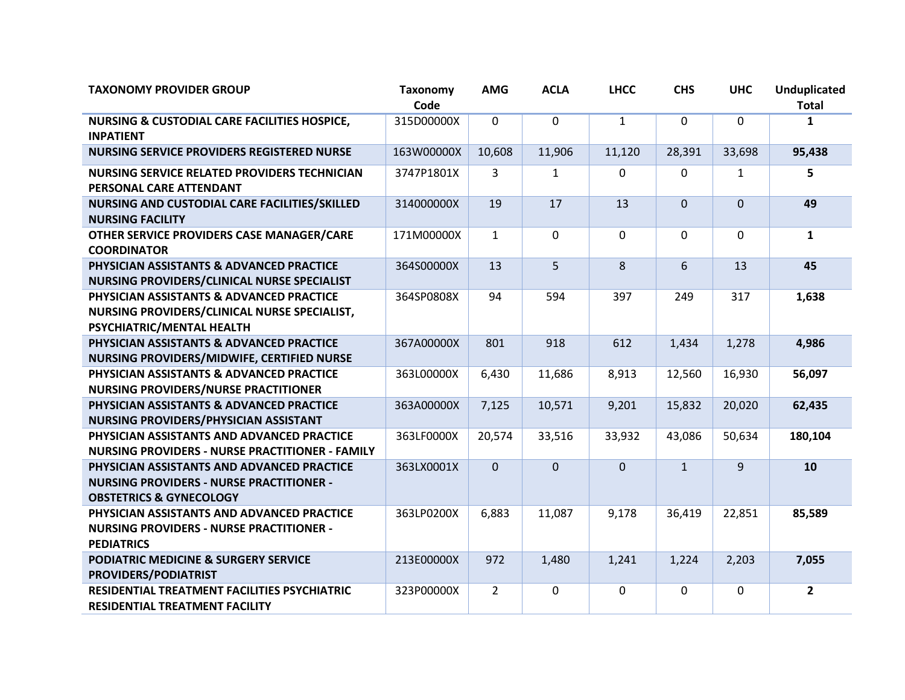| <b>TAXONOMY PROVIDER GROUP</b>                                                                                                      | <b>Taxonomy</b><br>Code | <b>AMG</b>     | <b>ACLA</b>  | <b>LHCC</b>  | <b>CHS</b>   | <b>UHC</b>     | <b>Unduplicated</b><br><b>Total</b> |
|-------------------------------------------------------------------------------------------------------------------------------------|-------------------------|----------------|--------------|--------------|--------------|----------------|-------------------------------------|
| <b>NURSING &amp; CUSTODIAL CARE FACILITIES HOSPICE,</b><br><b>INPATIENT</b>                                                         | 315D00000X              | $\mathbf{0}$   | $\mathbf{0}$ | $\mathbf{1}$ | $\mathbf{0}$ | $\mathbf 0$    | $\mathbf{1}$                        |
| <b>NURSING SERVICE PROVIDERS REGISTERED NURSE</b>                                                                                   | 163W00000X              | 10,608         | 11,906       | 11,120       | 28,391       | 33,698         | 95,438                              |
| <b>NURSING SERVICE RELATED PROVIDERS TECHNICIAN</b><br>PERSONAL CARE ATTENDANT                                                      | 3747P1801X              | 3              | $\mathbf{1}$ | 0            | 0            | $\mathbf{1}$   | 5                                   |
| NURSING AND CUSTODIAL CARE FACILITIES/SKILLED<br><b>NURSING FACILITY</b>                                                            | 314000000X              | 19             | 17           | 13           | $\mathbf{0}$ | $\overline{0}$ | 49                                  |
| OTHER SERVICE PROVIDERS CASE MANAGER/CARE<br><b>COORDINATOR</b>                                                                     | 171M00000X              | $\mathbf{1}$   | $\mathbf{0}$ | 0            | $\mathbf{0}$ | 0              | $\mathbf{1}$                        |
| PHYSICIAN ASSISTANTS & ADVANCED PRACTICE<br>NURSING PROVIDERS/CLINICAL NURSE SPECIALIST                                             | 364S00000X              | 13             | 5            | 8            | 6            | 13             | 45                                  |
| PHYSICIAN ASSISTANTS & ADVANCED PRACTICE<br>NURSING PROVIDERS/CLINICAL NURSE SPECIALIST,<br>PSYCHIATRIC/MENTAL HEALTH               | 364SP0808X              | 94             | 594          | 397          | 249          | 317            | 1,638                               |
| PHYSICIAN ASSISTANTS & ADVANCED PRACTICE<br>NURSING PROVIDERS/MIDWIFE, CERTIFIED NURSE                                              | 367A00000X              | 801            | 918          | 612          | 1,434        | 1,278          | 4,986                               |
| PHYSICIAN ASSISTANTS & ADVANCED PRACTICE<br><b>NURSING PROVIDERS/NURSE PRACTITIONER</b>                                             | 363L00000X              | 6,430          | 11,686       | 8,913        | 12,560       | 16,930         | 56,097                              |
| PHYSICIAN ASSISTANTS & ADVANCED PRACTICE<br>NURSING PROVIDERS/PHYSICIAN ASSISTANT                                                   | 363A00000X              | 7,125          | 10,571       | 9,201        | 15,832       | 20,020         | 62,435                              |
| PHYSICIAN ASSISTANTS AND ADVANCED PRACTICE<br><b>NURSING PROVIDERS - NURSE PRACTITIONER - FAMILY</b>                                | 363LF0000X              | 20,574         | 33,516       | 33,932       | 43,086       | 50,634         | 180,104                             |
| PHYSICIAN ASSISTANTS AND ADVANCED PRACTICE<br><b>NURSING PROVIDERS - NURSE PRACTITIONER -</b><br><b>OBSTETRICS &amp; GYNECOLOGY</b> | 363LX0001X              | $\mathbf 0$    | $\mathbf{0}$ | 0            | $\mathbf{1}$ | 9              | 10                                  |
| PHYSICIAN ASSISTANTS AND ADVANCED PRACTICE<br><b>NURSING PROVIDERS - NURSE PRACTITIONER -</b><br><b>PEDIATRICS</b>                  | 363LP0200X              | 6,883          | 11,087       | 9,178        | 36,419       | 22,851         | 85,589                              |
| <b>PODIATRIC MEDICINE &amp; SURGERY SERVICE</b><br><b>PROVIDERS/PODIATRIST</b>                                                      | 213E00000X              | 972            | 1,480        | 1,241        | 1,224        | 2,203          | 7,055                               |
| RESIDENTIAL TREATMENT FACILITIES PSYCHIATRIC<br><b>RESIDENTIAL TREATMENT FACILITY</b>                                               | 323P00000X              | $\overline{2}$ | $\mathbf 0$  | $\mathbf 0$  | $\mathbf 0$  | $\mathbf 0$    | $\overline{2}$                      |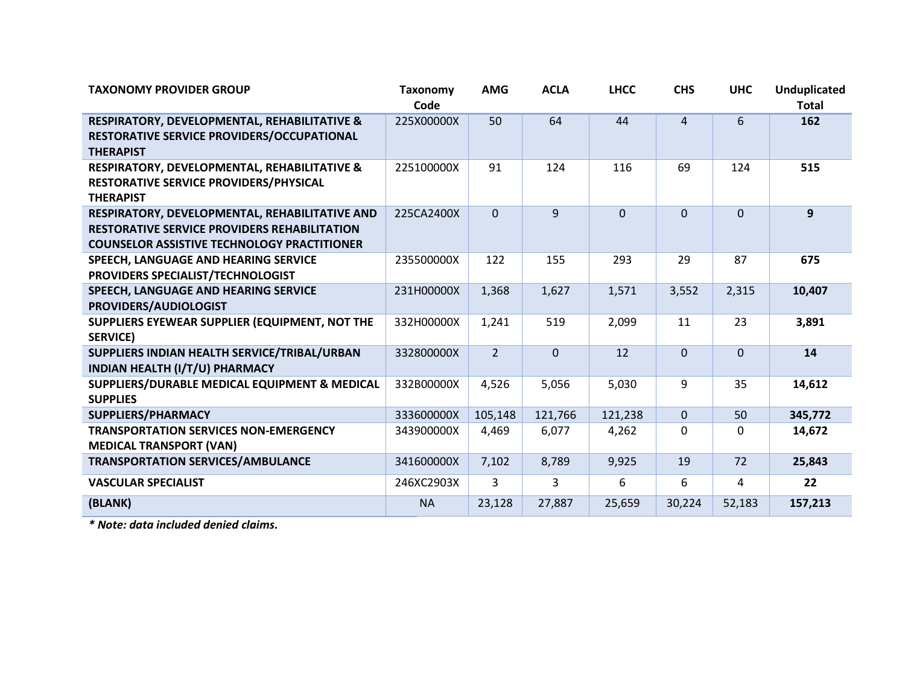| <b>TAXONOMY PROVIDER GROUP</b>                      | <b>Taxonomy</b> | <b>AMG</b>     | <b>ACLA</b> | <b>LHCC</b>    | <b>CHS</b>     | <b>UHC</b> | <b>Unduplicated</b> |
|-----------------------------------------------------|-----------------|----------------|-------------|----------------|----------------|------------|---------------------|
|                                                     | Code            |                |             |                |                |            | <b>Total</b>        |
| RESPIRATORY, DEVELOPMENTAL, REHABILITATIVE &        | 225X00000X      | 50             | 64          | 44             | $\overline{4}$ | 6          | 162                 |
| RESTORATIVE SERVICE PROVIDERS/OCCUPATIONAL          |                 |                |             |                |                |            |                     |
| <b>THERAPIST</b>                                    |                 |                |             |                |                |            |                     |
| RESPIRATORY, DEVELOPMENTAL, REHABILITATIVE &        | 225100000X      | 91             | 124         | 116            | 69             | 124        | 515                 |
| RESTORATIVE SERVICE PROVIDERS/PHYSICAL              |                 |                |             |                |                |            |                     |
| <b>THERAPIST</b>                                    |                 |                |             |                |                |            |                     |
| RESPIRATORY, DEVELOPMENTAL, REHABILITATIVE AND      | 225CA2400X      | $\overline{0}$ | 9           | $\overline{0}$ | $\overline{0}$ | $\Omega$   | 9                   |
| <b>RESTORATIVE SERVICE PROVIDERS REHABILITATION</b> |                 |                |             |                |                |            |                     |
| <b>COUNSELOR ASSISTIVE TECHNOLOGY PRACTITIONER</b>  |                 |                |             |                |                |            |                     |
| SPEECH, LANGUAGE AND HEARING SERVICE                | 235500000X      | 122            | 155         | 293            | 29             | 87         | 675                 |
| PROVIDERS SPECIALIST/TECHNOLOGIST                   |                 |                |             |                |                |            |                     |
| SPEECH, LANGUAGE AND HEARING SERVICE                | 231H00000X      | 1,368          | 1,627       | 1,571          | 3,552          | 2,315      | 10,407              |
| PROVIDERS/AUDIOLOGIST                               |                 |                |             |                |                |            |                     |
| SUPPLIERS EYEWEAR SUPPLIER (EQUIPMENT, NOT THE      | 332H00000X      | 1,241          | 519         | 2,099          | 11             | 23         | 3,891               |
| <b>SERVICE)</b>                                     |                 |                |             |                |                |            |                     |
| SUPPLIERS INDIAN HEALTH SERVICE/TRIBAL/URBAN        | 332800000X      | $\overline{2}$ | $\Omega$    | 12             | $\overline{0}$ | $\Omega$   | 14                  |
| INDIAN HEALTH (I/T/U) PHARMACY                      |                 |                |             |                |                |            |                     |
| SUPPLIERS/DURABLE MEDICAL EQUIPMENT & MEDICAL       | 332B00000X      | 4,526          | 5,056       | 5,030          | 9              | 35         | 14,612              |
| <b>SUPPLIES</b>                                     |                 |                |             |                |                |            |                     |
| SUPPLIERS/PHARMACY                                  | 333600000X      | 105,148        | 121,766     | 121,238        | $\pmb{0}$      | 50         | 345,772             |
| <b>TRANSPORTATION SERVICES NON-EMERGENCY</b>        | 343900000X      | 4,469          | 6,077       | 4,262          | 0              | 0          | 14,672              |
| <b>MEDICAL TRANSPORT (VAN)</b>                      |                 |                |             |                |                |            |                     |
| <b>TRANSPORTATION SERVICES/AMBULANCE</b>            | 341600000X      | 7,102          | 8,789       | 9,925          | 19             | 72         | 25,843              |
| <b>VASCULAR SPECIALIST</b>                          | 246XC2903X      | 3              | 3           | 6              | 6              | 4          | 22                  |
| (BLANK)                                             | <b>NA</b>       | 23,128         | 27,887      | 25,659         | 30,224         | 52,183     | 157,213             |

*\* Note: data included denied claims.*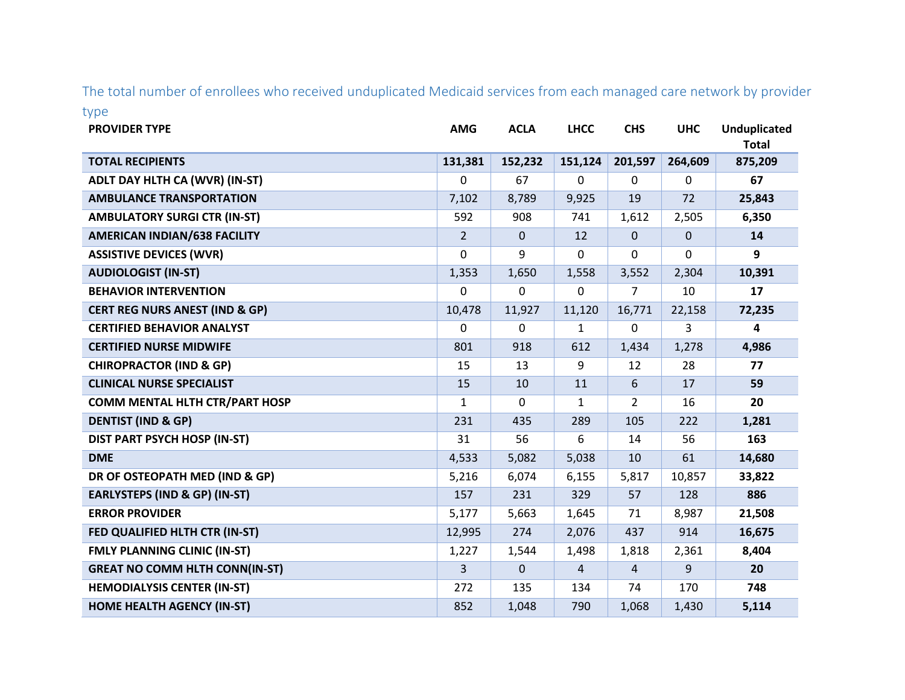The total number of enrollees who received unduplicated Medicaid services from each managed care network by provider type

| <b>PROVIDER TYPE</b>                      | <b>AMG</b>       | <b>ACLA</b>  | <b>LHCC</b>      | <b>CHS</b>     | <b>UHC</b>   | <b>Unduplicated</b><br><b>Total</b> |
|-------------------------------------------|------------------|--------------|------------------|----------------|--------------|-------------------------------------|
| <b>TOTAL RECIPIENTS</b>                   | 131,381          | 152,232      | 151,124          | 201,597        | 264,609      | 875,209                             |
| ADLT DAY HLTH CA (WVR) (IN-ST)            | $\mathbf 0$      | 67           | 0                | $\mathbf 0$    | 0            | 67                                  |
| <b>AMBULANCE TRANSPORTATION</b>           | 7,102            | 8,789        | 9,925            | 19             | 72           | 25,843                              |
| <b>AMBULATORY SURGI CTR (IN-ST)</b>       | 592              | 908          | 741              | 1,612          | 2,505        | 6,350                               |
| <b>AMERICAN INDIAN/638 FACILITY</b>       | $\overline{2}$   | $\mathbf{0}$ | 12               | $\mathbf 0$    | $\mathbf{0}$ | 14                                  |
| <b>ASSISTIVE DEVICES (WVR)</b>            | 0                | 9            | 0                | 0              | 0            | 9                                   |
| <b>AUDIOLOGIST (IN-ST)</b>                | 1,353            | 1,650        | 1,558            | 3,552          | 2,304        | 10,391                              |
| <b>BEHAVIOR INTERVENTION</b>              | $\boldsymbol{0}$ | $\mathbf 0$  | $\boldsymbol{0}$ | 7              | 10           | 17                                  |
| <b>CERT REG NURS ANEST (IND &amp; GP)</b> | 10,478           | 11,927       | 11,120           | 16,771         | 22,158       | 72,235                              |
| <b>CERTIFIED BEHAVIOR ANALYST</b>         | 0                | $\Omega$     | 1                | 0              | 3            | 4                                   |
| <b>CERTIFIED NURSE MIDWIFE</b>            | 801              | 918          | 612              | 1,434          | 1,278        | 4,986                               |
| <b>CHIROPRACTOR (IND &amp; GP)</b>        | 15               | 13           | 9                | 12             | 28           | 77                                  |
| <b>CLINICAL NURSE SPECIALIST</b>          | 15               | 10           | 11               | 6              | 17           | 59                                  |
| <b>COMM MENTAL HLTH CTR/PART HOSP</b>     | 1                | $\Omega$     | $\mathbf{1}$     | $\overline{2}$ | 16           | 20                                  |
| <b>DENTIST (IND &amp; GP)</b>             | 231              | 435          | 289              | 105            | 222          | 1,281                               |
| DIST PART PSYCH HOSP (IN-ST)              | 31               | 56           | 6                | 14             | 56           | 163                                 |
| <b>DME</b>                                | 4,533            | 5,082        | 5,038            | 10             | 61           | 14,680                              |
| DR OF OSTEOPATH MED (IND & GP)            | 5,216            | 6,074        | 6,155            | 5,817          | 10,857       | 33,822                              |
| <b>EARLYSTEPS (IND &amp; GP) (IN-ST)</b>  | 157              | 231          | 329              | 57             | 128          | 886                                 |
| <b>ERROR PROVIDER</b>                     | 5,177            | 5,663        | 1,645            | 71             | 8,987        | 21,508                              |
| FED QUALIFIED HLTH CTR (IN-ST)            | 12,995           | 274          | 2,076            | 437            | 914          | 16,675                              |
| <b>FMLY PLANNING CLINIC (IN-ST)</b>       | 1,227            | 1,544        | 1,498            | 1,818          | 2,361        | 8,404                               |
| <b>GREAT NO COMM HLTH CONN(IN-ST)</b>     | 3                | $\mathbf{0}$ | $\overline{4}$   | $\overline{4}$ | 9            | 20                                  |
| <b>HEMODIALYSIS CENTER (IN-ST)</b>        | 272              | 135          | 134              | 74             | 170          | 748                                 |
| <b>HOME HEALTH AGENCY (IN-ST)</b>         | 852              | 1,048        | 790              | 1,068          | 1,430        | 5,114                               |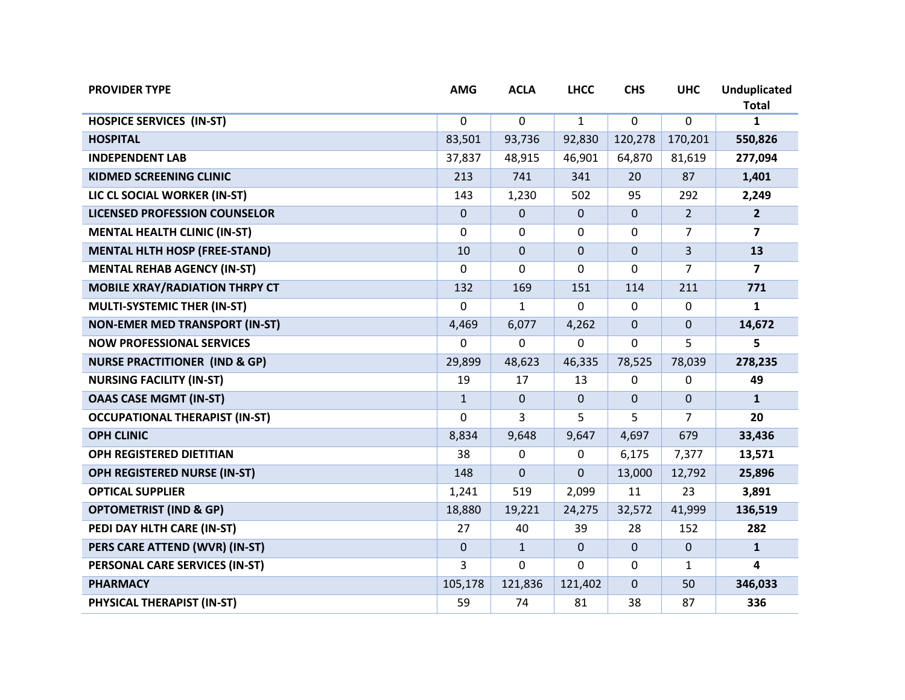| <b>PROVIDER TYPE</b>                     | <b>AMG</b>   | <b>ACLA</b>  | <b>LHCC</b>  | <b>CHS</b>   | <b>UHC</b>     | <b>Unduplicated</b><br><b>Total</b> |
|------------------------------------------|--------------|--------------|--------------|--------------|----------------|-------------------------------------|
| <b>HOSPICE SERVICES (IN-ST)</b>          | 0            | $\mathbf 0$  | $\mathbf{1}$ | $\mathbf 0$  | 0              | 1                                   |
| <b>HOSPITAL</b>                          | 83,501       | 93,736       | 92,830       | 120,278      | 170,201        | 550,826                             |
| <b>INDEPENDENT LAB</b>                   | 37,837       | 48,915       | 46,901       | 64,870       | 81,619         | 277,094                             |
| <b>KIDMED SCREENING CLINIC</b>           | 213          | 741          | 341          | 20           | 87             | 1,401                               |
| LIC CL SOCIAL WORKER (IN-ST)             | 143          | 1,230        | 502          | 95           | 292            | 2,249                               |
| <b>LICENSED PROFESSION COUNSELOR</b>     | $\mathbf{0}$ | $\mathbf{0}$ | 0            | $\mathbf{0}$ | $\overline{2}$ | $\overline{2}$                      |
| <b>MENTAL HEALTH CLINIC (IN-ST)</b>      | $\mathbf 0$  | $\mathbf{0}$ | $\Omega$     | $\Omega$     | $\overline{7}$ | $\overline{7}$                      |
| <b>MENTAL HLTH HOSP (FREE-STAND)</b>     | 10           | $\mathbf{0}$ | $\mathbf 0$  | $\mathbf{0}$ | 3              | 13                                  |
| <b>MENTAL REHAB AGENCY (IN-ST)</b>       | 0            | $\Omega$     | 0            | 0            | 7              | $\overline{7}$                      |
| <b>MOBILE XRAY/RADIATION THRPY CT</b>    | 132          | 169          | 151          | 114          | 211            | 771                                 |
| MULTI-SYSTEMIC THER (IN-ST)              | $\Omega$     | $\mathbf{1}$ | $\Omega$     | 0            | 0              | $\mathbf{1}$                        |
| <b>NON-EMER MED TRANSPORT (IN-ST)</b>    | 4,469        | 6,077        | 4,262        | $\mathbf{0}$ | 0              | 14,672                              |
| <b>NOW PROFESSIONAL SERVICES</b>         | $\Omega$     | $\Omega$     | 0            | $\Omega$     | 5              | 5                                   |
| <b>NURSE PRACTITIONER (IND &amp; GP)</b> | 29,899       | 48,623       | 46,335       | 78,525       | 78,039         | 278,235                             |
| <b>NURSING FACILITY (IN-ST)</b>          | 19           | 17           | 13           | $\mathbf 0$  | 0              | 49                                  |
| <b>OAAS CASE MGMT (IN-ST)</b>            | $\mathbf{1}$ | $\mathbf{0}$ | $\mathbf{0}$ | $\Omega$     | 0              | $\mathbf{1}$                        |
| <b>OCCUPATIONAL THERAPIST (IN-ST)</b>    | 0            | 3            | 5            | 5            | 7              | 20                                  |
| <b>OPH CLINIC</b>                        | 8,834        | 9,648        | 9,647        | 4,697        | 679            | 33,436                              |
| OPH REGISTERED DIETITIAN                 | 38           | 0            | 0            | 6,175        | 7,377          | 13,571                              |
| OPH REGISTERED NURSE (IN-ST)             | 148          | $\Omega$     | 0            | 13,000       | 12,792         | 25,896                              |
| <b>OPTICAL SUPPLIER</b>                  | 1,241        | 519          | 2,099        | 11           | 23             | 3,891                               |
| <b>OPTOMETRIST (IND &amp; GP)</b>        | 18,880       | 19,221       | 24,275       | 32,572       | 41,999         | 136,519                             |
| PEDI DAY HLTH CARE (IN-ST)               | 27           | 40           | 39           | 28           | 152            | 282                                 |
| PERS CARE ATTEND (WVR) (IN-ST)           | $\mathbf{0}$ | $\mathbf{1}$ | $\mathbf 0$  | $\mathbf{0}$ | 0              | $\mathbf{1}$                        |
| PERSONAL CARE SERVICES (IN-ST)           | 3            | $\Omega$     | $\Omega$     | 0            | 1              | 4                                   |
| <b>PHARMACY</b>                          | 105,178      | 121,836      | 121,402      | $\mathbf{0}$ | 50             | 346,033                             |
| PHYSICAL THERAPIST (IN-ST)               | 59           | 74           | 81           | 38           | 87             | 336                                 |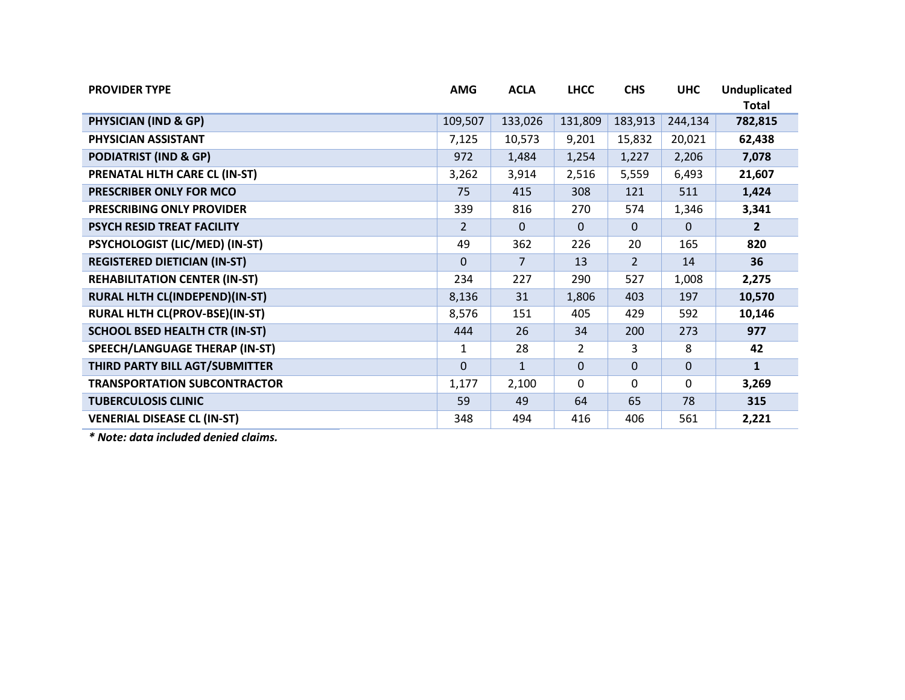| <b>PROVIDER TYPE</b>                  | <b>AMG</b>     | <b>ACLA</b>  | <b>LHCC</b>    | <b>CHS</b>     | <b>UHC</b> | <b>Unduplicated</b><br>Total |
|---------------------------------------|----------------|--------------|----------------|----------------|------------|------------------------------|
| <b>PHYSICIAN (IND &amp; GP)</b>       | 109,507        | 133,026      | 131,809        | 183,913        | 244,134    | 782,815                      |
| PHYSICIAN ASSISTANT                   | 7,125          | 10,573       | 9,201          | 15,832         | 20,021     | 62,438                       |
| <b>PODIATRIST (IND &amp; GP)</b>      | 972            | 1,484        | 1,254          | 1,227          | 2,206      | 7,078                        |
| PRENATAL HLTH CARE CL (IN-ST)         | 3,262          | 3,914        | 2,516          | 5,559          | 6,493      | 21,607                       |
| PRESCRIBER ONLY FOR MCO               | 75             | 415          | 308            | 121            | 511        | 1,424                        |
| PRESCRIBING ONLY PROVIDER             | 339            | 816          | 270            | 574            | 1,346      | 3,341                        |
| PSYCH RESID TREAT FACILITY            | $\overline{2}$ | $\Omega$     | $\Omega$       | $\Omega$       | $\Omega$   | $\overline{2}$               |
| PSYCHOLOGIST (LIC/MED) (IN-ST)        | 49             | 362          | 226            | 20             | 165        | 820                          |
| <b>REGISTERED DIETICIAN (IN-ST)</b>   | 0              | 7            | 13             | $\overline{2}$ | 14         | 36                           |
| <b>REHABILITATION CENTER (IN-ST)</b>  | 234            | 227          | 290            | 527            | 1,008      | 2,275                        |
| RURAL HLTH CL(INDEPEND)(IN-ST)        | 8,136          | 31           | 1,806          | 403            | 197        | 10,570                       |
| RURAL HLTH CL(PROV-BSE)(IN-ST)        | 8,576          | 151          | 405            | 429            | 592        | 10,146                       |
| <b>SCHOOL BSED HEALTH CTR (IN-ST)</b> | 444            | 26           | 34             | 200            | 273        | 977                          |
| SPEECH/LANGUAGE THERAP (IN-ST)        | 1              | 28           | $\overline{2}$ | 3              | 8          | 42                           |
| THIRD PARTY BILL AGT/SUBMITTER        | $\Omega$       | $\mathbf{1}$ | $\mathbf{0}$   | $\Omega$       | $\Omega$   | $\mathbf{1}$                 |
| <b>TRANSPORTATION SUBCONTRACTOR</b>   | 1,177          | 2,100        | $\mathbf{0}$   | $\Omega$       | 0          | 3,269                        |
| <b>TUBERCULOSIS CLINIC</b>            | 59             | 49           | 64             | 65             | 78         | 315                          |
| <b>VENERIAL DISEASE CL (IN-ST)</b>    | 348            | 494          | 416            | 406            | 561        | 2,221                        |

*\* Note: data included denied claims.*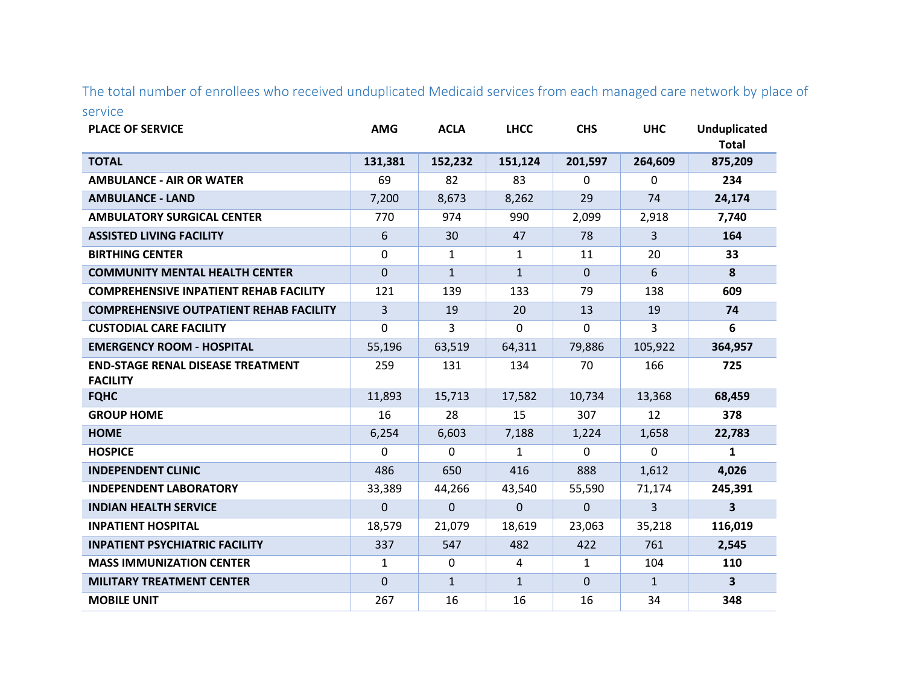The total number of enrollees who received unduplicated Medicaid services from each managed care network by place of service

| <b>PLACE OF SERVICE</b>                                     | <b>AMG</b>     | <b>ACLA</b>  | <b>LHCC</b>  | <b>CHS</b>   | <b>UHC</b>   | <b>Unduplicated</b><br><b>Total</b> |
|-------------------------------------------------------------|----------------|--------------|--------------|--------------|--------------|-------------------------------------|
| <b>TOTAL</b>                                                | 131,381        | 152,232      | 151,124      | 201,597      | 264,609      | 875,209                             |
| <b>AMBULANCE - AIR OR WATER</b>                             | 69             | 82           | 83           | $\mathbf{0}$ | 0            | 234                                 |
| <b>AMBULANCE - LAND</b>                                     | 7,200          | 8,673        | 8,262        | 29           | 74           | 24,174                              |
| <b>AMBULATORY SURGICAL CENTER</b>                           | 770            | 974          | 990          | 2,099        | 2,918        | 7,740                               |
| <b>ASSISTED LIVING FACILITY</b>                             | 6              | 30           | 47           | 78           | 3            | 164                                 |
| <b>BIRTHING CENTER</b>                                      | $\mathbf 0$    | 1            | 1            | 11           | 20           | 33                                  |
| <b>COMMUNITY MENTAL HEALTH CENTER</b>                       | $\mathbf 0$    | $\mathbf{1}$ | $\mathbf{1}$ | $\mathbf{0}$ | 6            | 8                                   |
| <b>COMPREHENSIVE INPATIENT REHAB FACILITY</b>               | 121            | 139          | 133          | 79           | 138          | 609                                 |
| <b>COMPREHENSIVE OUTPATIENT REHAB FACILITY</b>              | $\overline{3}$ | 19           | 20           | 13           | 19           | 74                                  |
| <b>CUSTODIAL CARE FACILITY</b>                              | $\mathbf 0$    | 3            | $\Omega$     | 0            | 3            | 6                                   |
| <b>EMERGENCY ROOM - HOSPITAL</b>                            | 55,196         | 63,519       | 64,311       | 79,886       | 105,922      | 364,957                             |
| <b>END-STAGE RENAL DISEASE TREATMENT</b><br><b>FACILITY</b> | 259            | 131          | 134          | 70           | 166          | 725                                 |
| <b>FQHC</b>                                                 | 11,893         | 15,713       | 17,582       | 10,734       | 13,368       | 68,459                              |
| <b>GROUP HOME</b>                                           | 16             | 28           | 15           | 307          | 12           | 378                                 |
| <b>HOME</b>                                                 | 6,254          | 6,603        | 7,188        | 1,224        | 1,658        | 22,783                              |
| <b>HOSPICE</b>                                              | $\Omega$       | $\Omega$     | $\mathbf{1}$ | $\Omega$     | 0            | 1                                   |
| <b>INDEPENDENT CLINIC</b>                                   | 486            | 650          | 416          | 888          | 1,612        | 4,026                               |
| <b>INDEPENDENT LABORATORY</b>                               | 33,389         | 44,266       | 43,540       | 55,590       | 71,174       | 245,391                             |
| <b>INDIAN HEALTH SERVICE</b>                                | $\mathbf 0$    | $\Omega$     | $\Omega$     | $\Omega$     | 3            | 3                                   |
| <b>INPATIENT HOSPITAL</b>                                   | 18,579         | 21,079       | 18,619       | 23,063       | 35,218       | 116,019                             |
| <b>INPATIENT PSYCHIATRIC FACILITY</b>                       | 337            | 547          | 482          | 422          | 761          | 2,545                               |
| <b>MASS IMMUNIZATION CENTER</b>                             | $\mathbf{1}$   | $\Omega$     | 4            | $\mathbf{1}$ | 104          | 110                                 |
| <b>MILITARY TREATMENT CENTER</b>                            | $\mathbf{0}$   | $\mathbf{1}$ | $\mathbf{1}$ | $\mathbf{0}$ | $\mathbf{1}$ | $\mathbf{3}$                        |
| <b>MOBILE UNIT</b>                                          | 267            | 16           | 16           | 16           | 34           | 348                                 |